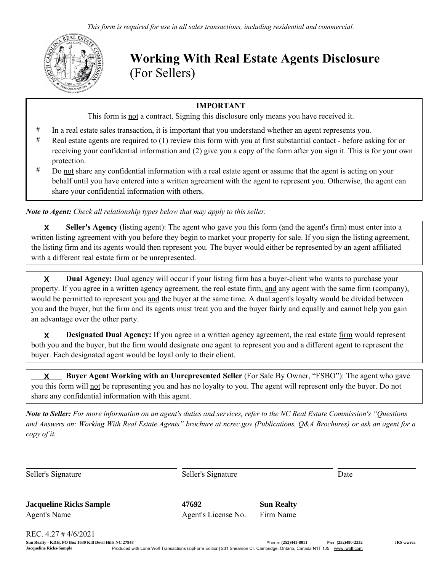

Working With Real Estate Agents Disclosure (For Sellers)

## IMPORTANT

This form is not a contract. Signing this disclosure only means you have received it.

- # In a real estate sales transaction, it is important that you understand whether an agent represents you.
- # Real estate agents are required to (1) review this form with you at first substantial contact before asking for or receiving your confidential information and (2) give you a copy of the form after you sign it. This is for your own protection.
- # Do not share any confidential information with a real estate agent or assume that the agent is acting on your behalf until you have entered into a written agreement with the agent to represent you. Otherwise, the agent can share your confidential information with others.

*Note to Agent: Check all relationship types below that may apply to this seller.*

 Seller's Agency (listing agent): The agent who gave you this form (and the agent's firm) must enter into a written listing agreement with you before they begin to market your property for sale. If you sign the listing agreement, the listing firm and its agents would then represent you. The buyer would either be represented by an agent affiliated with a different real estate firm or be unrepresented. **X**

 Dual Agency: Dual agency will occur if your listing firm has a buyer-client who wants to purchase your property. If you agree in a written agency agreement, the real estate firm, and any agent with the same firm (company), would be permitted to represent you and the buyer at the same time. A dual agent's loyalty would be divided between you and the buyer, but the firm and its agents must treat you and the buyer fairly and equally and cannot help you gain an advantage over the other party. **X**

**X** Designated Dual Agency: If you agree in a written agency agreement, the real estate firm would represent both you and the buyer, but the firm would designate one agent to represent you and a different agent to represent the buyer. Each designated agent would be loyal only to their client.

 Buyer Agent Working with an Unrepresented Seller (For Sale By Owner, "FSBO"): The agent who gave you this form will not be representing you and has no loyalty to you. The agent will represent only the buyer. Do not share any confidential information with this agent. **X**

*Note to Seller: For more information on an agent's duties and services, refer to the NC Real Estate Commission's "Questions and Answers on: Working With Real Estate Agents" brochure at ncrec.gov (Publications, Q&A Brochures) or ask an agent for a copy of it.*

| Seller's Signature             | Seller's Signature  | Date              |  |
|--------------------------------|---------------------|-------------------|--|
| <b>Jacqueline Ricks Sample</b> | 47692               | <b>Sun Realty</b> |  |
| Agent's Name                   | Agent's License No. | Firm Name         |  |